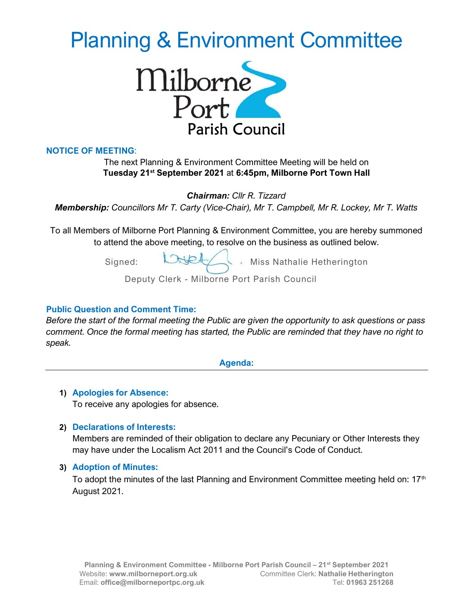# Planning & Environment Committee



# NOTICE OF MEETING:

# The next Planning & Environment Committee Meeting will be held on Tuesday 21<sup>st</sup> September 2021 at 6:45pm, Milborne Port Town Hall

Chairman: Cllr R. Tizzard

Membership: Councillors Mr T. Carty (Vice-Chair), Mr T. Campbell, Mr R. Lockey, Mr T. Watts

To all Members of Milborne Port Planning & Environment Committee, you are hereby summoned to attend the above meeting, to resolve on the business as outlined below.

Signed: **Miss Nathalie Hetherington** 

Deputy Clerk - Milborne Port Parish Council

## Public Question and Comment Time:

Before the start of the formal meeting the Public are given the opportunity to ask questions or pass comment. Once the formal meeting has started, the Public are reminded that they have no right to speak.

Agenda:

# 1) Apologies for Absence:

To receive any apologies for absence.

# 2) Declarations of Interests:

Members are reminded of their obligation to declare any Pecuniary or Other Interests they may have under the Localism Act 2011 and the Council's Code of Conduct.

#### 3) Adoption of Minutes:

To adopt the minutes of the last Planning and Environment Committee meeting held on:  $17<sup>th</sup>$ August 2021.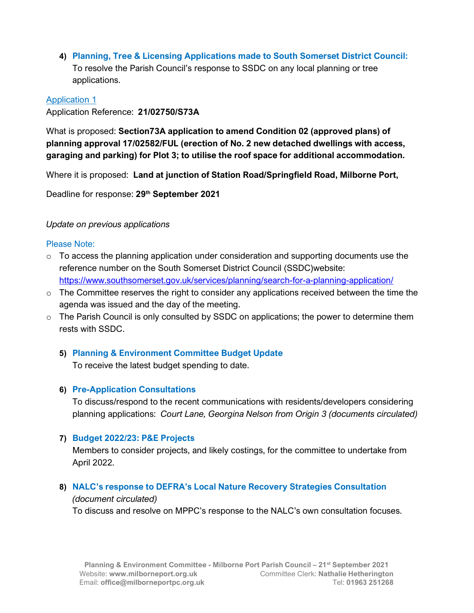4) Planning, Tree & Licensing Applications made to South Somerset District Council: To resolve the Parish Council's response to SSDC on any local planning or tree applications.

#### Application 1

Application Reference: 21/02750/S73A

What is proposed: Section73A application to amend Condition 02 (approved plans) of planning approval 17/02582/FUL (erection of No. 2 new detached dwellings with access, garaging and parking) for Plot 3; to utilise the roof space for additional accommodation.

Where it is proposed: Land at junction of Station Road/Springfield Road, Milborne Port,

Deadline for response: 29<sup>th</sup> September 2021

## Update on previous applications

## Please Note:

- $\circ$  To access the planning application under consideration and supporting documents use the reference number on the South Somerset District Council (SSDC)website: https://www.southsomerset.gov.uk/services/planning/search-for-a-planning-application/
- $\circ$  The Committee reserves the right to consider any applications received between the time the agenda was issued and the day of the meeting.
- $\circ$  The Parish Council is only consulted by SSDC on applications; the power to determine them rests with SSDC.

# 5) Planning & Environment Committee Budget Update

To receive the latest budget spending to date.

# 6) Pre-Application Consultations

To discuss/respond to the recent communications with residents/developers considering planning applications: Court Lane, Georgina Nelson from Origin 3 (documents circulated)

# 7) Budget 2022/23: P&E Projects

Members to consider projects, and likely costings, for the committee to undertake from April 2022.

# 8) NALC's response to DEFRA's Local Nature Recovery Strategies Consultation

#### (document circulated)

To discuss and resolve on MPPC's response to the NALC's own consultation focuses.